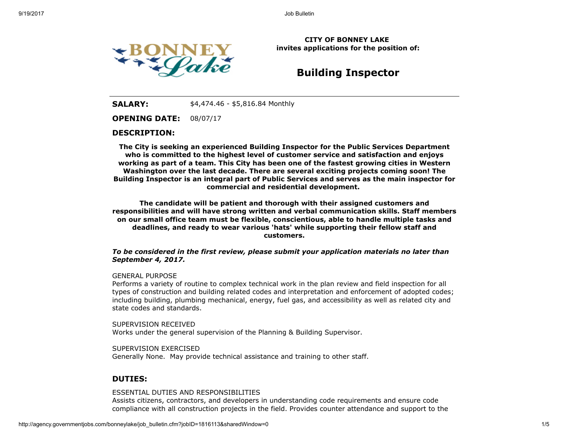

CITY OF BONNEY LAKE invites applications for the position of:

# Building Inspector

**SALARY:**  $$4,474.46 - $5,816.84$  Monthly

OPENING DATE: 08/07/17

### DESCRIPTION:

The City is seeking an experienced Building Inspector for the Public Services Department who is committed to the highest level of customer service and satisfaction and enjoys working as part of a team. This City has been one of the fastest growing cities in Western Washington over the last decade. There are several exciting projects coming soon! The Building Inspector is an integral part of Public Services and serves as the main inspector for commercial and residential development.

The candidate will be patient and thorough with their assigned customers and responsibilities and will have strong written and verbal communication skills. Staff members on our small office team must be flexible, conscientious, able to handle multiple tasks and deadlines, and ready to wear various 'hats' while supporting their fellow staff and customers.

### To be considered in the first review, please submit your application materials no later than September 4, 2017.

### GENERAL PURPOSE

Performs a variety of routine to complex technical work in the plan review and field inspection for all types of construction and building related codes and interpretation and enforcement of adopted codes; including building, plumbing mechanical, energy, fuel gas, and accessibility as well as related city and state codes and standards.

SUPERVISION RECEIVED Works under the general supervision of the Planning & Building Supervisor.

SUPERVISION EXERCISED Generally None. May provide technical assistance and training to other staff.

### DUTIES:

### ESSENTIAL DUTIES AND RESPONSIBILITIES

Assists citizens, contractors, and developers in understanding code requirements and ensure code compliance with all construction projects in the field. Provides counter attendance and support to the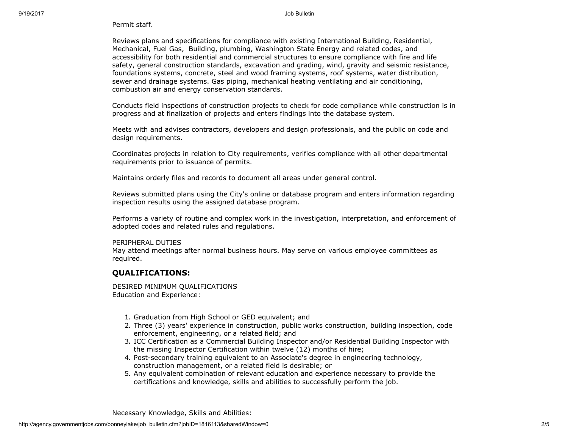### Permit staff.

Reviews plans and specifications for compliance with existing International Building, Residential, Mechanical, Fuel Gas, Building, plumbing, Washington State Energy and related codes, and accessibility for both residential and commercial structures to ensure compliance with fire and life safety, general construction standards, excavation and grading, wind, gravity and seismic resistance, foundations systems, concrete, steel and wood framing systems, roof systems, water distribution, sewer and drainage systems. Gas piping, mechanical heating ventilating and air conditioning, combustion air and energy conservation standards.

Conducts field inspections of construction projects to check for code compliance while construction is in progress and at finalization of projects and enters findings into the database system.

Meets with and advises contractors, developers and design professionals, and the public on code and design requirements.

Coordinates projects in relation to City requirements, verifies compliance with all other departmental requirements prior to issuance of permits.

Maintains orderly files and records to document all areas under general control.

Reviews submitted plans using the City's online or database program and enters information regarding inspection results using the assigned database program.

Performs a variety of routine and complex work in the investigation, interpretation, and enforcement of adopted codes and related rules and regulations.

### PERIPHERAL DUTIES

May attend meetings after normal business hours. May serve on various employee committees as required.

## QUALIFICATIONS:

DESIRED MINIMUM QUALIFICATIONS Education and Experience:

- 1. Graduation from High School or GED equivalent; and
- 2. Three (3) years' experience in construction, public works construction, building inspection, code enforcement, engineering, or a related field; and
- 3. ICC Certification as a Commercial Building Inspector and/or Residential Building Inspector with the missing Inspector Certification within twelve (12) months of hire;
- 4. Post-secondary training equivalent to an Associate's degree in engineering technology, construction management, or a related field is desirable; or
- 5. Any equivalent combination of relevant education and experience necessary to provide the certifications and knowledge, skills and abilities to successfully perform the job.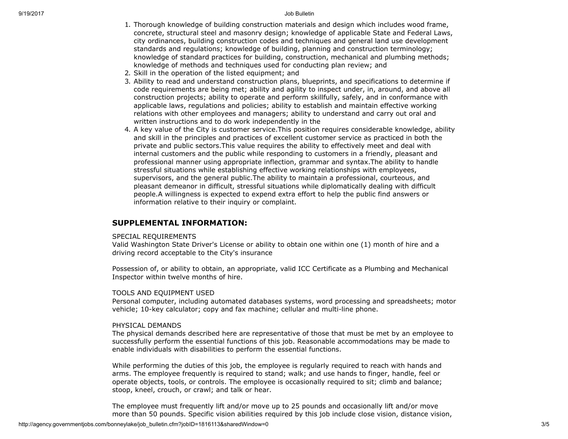- 1. Thorough knowledge of building construction materials and design which includes wood frame, concrete, structural steel and masonry design; knowledge of applicable State and Federal Laws, city ordinances, building construction codes and techniques and general land use development standards and regulations; knowledge of building, planning and construction terminology; knowledge of standard practices for building, construction, mechanical and plumbing methods; knowledge of methods and techniques used for conducting plan review; and
- 2. Skill in the operation of the listed equipment; and
- 3. Ability to read and understand construction plans, blueprints, and specifications to determine if code requirements are being met; ability and agility to inspect under, in, around, and above all construction projects; ability to operate and perform skillfully, safely, and in conformance with applicable laws, regulations and policies; ability to establish and maintain effective working relations with other employees and managers; ability to understand and carry out oral and written instructions and to do work independently in the
- 4. A key value of the City is customer service.This position requires considerable knowledge, ability and skill in the principles and practices of excellent customer service as practiced in both the private and public sectors.This value requires the ability to effectively meet and deal with internal customers and the public while responding to customers in a friendly, pleasant and professional manner using appropriate inflection, grammar and syntax.The ability to handle stressful situations while establishing effective working relationships with employees, supervisors, and the general public.The ability to maintain a professional, courteous, and pleasant demeanor in difficult, stressful situations while diplomatically dealing with difficult people.A willingness is expected to expend extra effort to help the public find answers or information relative to their inquiry or complaint.

### SUPPLEMENTAL INFORMATION:

### SPECIAL REQUIREMENTS

Valid Washington State Driver's License or ability to obtain one within one (1) month of hire and a driving record acceptable to the City's insurance

Possession of, or ability to obtain, an appropriate, valid ICC Certificate as a Plumbing and Mechanical Inspector within twelve months of hire.

### TOOLS AND EQUIPMENT USED

Personal computer, including automated databases systems, word processing and spreadsheets; motor vehicle; 10-key calculator; copy and fax machine; cellular and multi-line phone.

### PHYSICAL DEMANDS

The physical demands described here are representative of those that must be met by an employee to successfully perform the essential functions of this job. Reasonable accommodations may be made to enable individuals with disabilities to perform the essential functions.

While performing the duties of this job, the employee is regularly required to reach with hands and arms. The employee frequently is required to stand; walk; and use hands to finger, handle, feel or operate objects, tools, or controls. The employee is occasionally required to sit; climb and balance; stoop, kneel, crouch, or crawl; and talk or hear.

The employee must frequently lift and/or move up to 25 pounds and occasionally lift and/or move more than 50 pounds. Specific vision abilities required by this job include close vision, distance vision,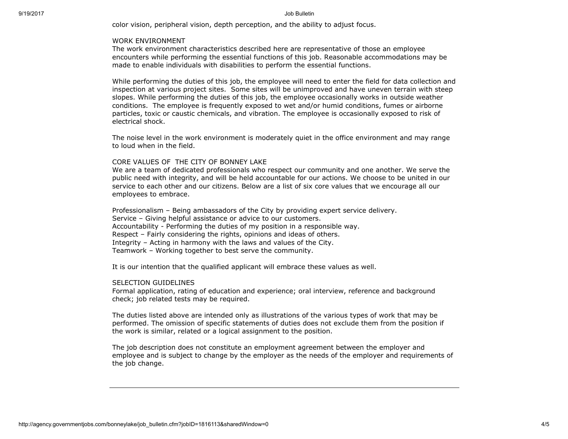color vision, peripheral vision, depth perception, and the ability to adjust focus.

#### WORK ENVIRONMENT

The work environment characteristics described here are representative of those an employee encounters while performing the essential functions of this job. Reasonable accommodations may be made to enable individuals with disabilities to perform the essential functions.

While performing the duties of this job, the employee will need to enter the field for data collection and inspection at various project sites. Some sites will be unimproved and have uneven terrain with steep slopes. While performing the duties of this job, the employee occasionally works in outside weather conditions. The employee is frequently exposed to wet and/or humid conditions, fumes or airborne particles, toxic or caustic chemicals, and vibration. The employee is occasionally exposed to risk of electrical shock.

The noise level in the work environment is moderately quiet in the office environment and may range to loud when in the field.

### CORE VALUES OF THE CITY OF BONNEY LAKE

We are a team of dedicated professionals who respect our community and one another. We serve the public need with integrity, and will be held accountable for our actions. We choose to be united in our service to each other and our citizens. Below are a list of six core values that we encourage all our employees to embrace.

Professionalism – Being ambassadors of the City by providing expert service delivery. Service – Giving helpful assistance or advice to our customers. Accountability - Performing the duties of my position in a responsible way. Respect – Fairly considering the rights, opinions and ideas of others. Integrity – Acting in harmony with the laws and values of the City. Teamwork – Working together to best serve the community.

It is our intention that the qualified applicant will embrace these values as well.

#### SELECTION GUIDELINES

Formal application, rating of education and experience; oral interview, reference and background check; job related tests may be required.

The duties listed above are intended only as illustrations of the various types of work that may be performed. The omission of specific statements of duties does not exclude them from the position if the work is similar, related or a logical assignment to the position.

The job description does not constitute an employment agreement between the employer and employee and is subject to change by the employer as the needs of the employer and requirements of the job change.